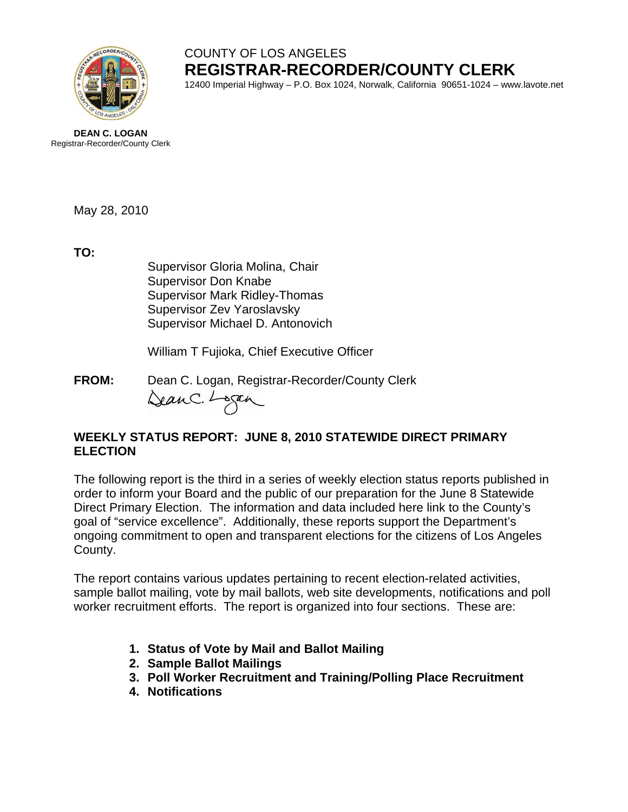

# COUNTY OF LOS ANGELES **REGISTRAR-RECORDER/COUNTY CLERK**

12400 Imperial Highway – P.O. Box 1024, Norwalk, California 90651-1024 – www.lavote.net

**DEAN C. LOGAN** Registrar-Recorder/County Clerk

May 28, 2010

**TO:**

Supervisor Gloria Molina, Chair Supervisor Don Knabe Supervisor Mark Ridley-Thomas Supervisor Zev Yaroslavsky Supervisor Michael D. Antonovich

William T Fujioka, Chief Executive Officer

**FROM:** Dean C. Logan, Registrar-Recorder/County Clerk<br>(au C. Lagan)

## **WEEKLY STATUS REPORT: JUNE 8, 2010 STATEWIDE DIRECT PRIMARY ELECTION**

The following report is the third in a series of weekly election status reports published in order to inform your Board and the public of our preparation for the June 8 Statewide Direct Primary Election. The information and data included here link to the County's goal of "service excellence". Additionally, these reports support the Department's ongoing commitment to open and transparent elections for the citizens of Los Angeles County.

The report contains various updates pertaining to recent election-related activities, sample ballot mailing, vote by mail ballots, web site developments, notifications and poll worker recruitment efforts. The report is organized into four sections. These are:

- **1. Status of Vote by Mail and Ballot Mailing**
- **2. Sample Ballot Mailings**
- **3. Poll Worker Recruitment and Training/Polling Place Recruitment**
- **4. Notifications**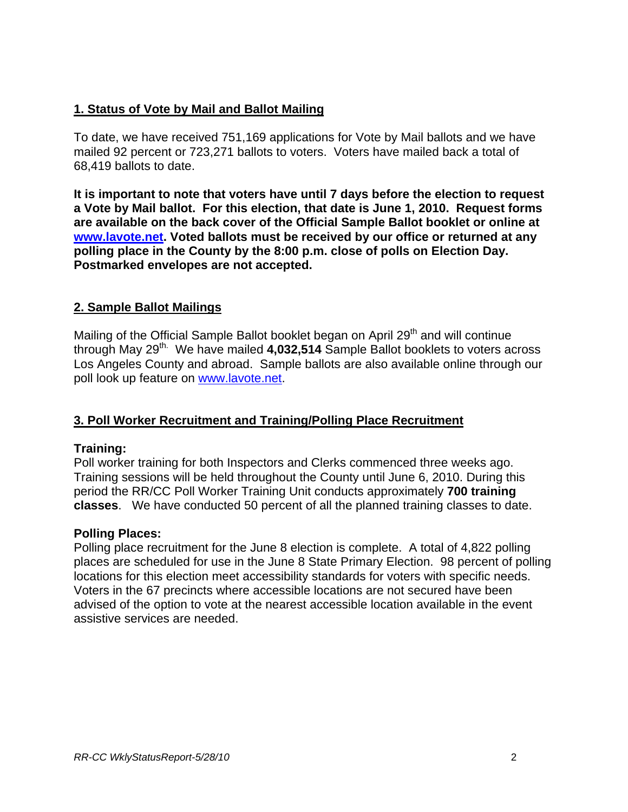## **1. Status of Vote by Mail and Ballot Mailing**

To date, we have received 751,169 applications for Vote by Mail ballots and we have mailed 92 percent or 723,271 ballots to voters. Voters have mailed back a total of 68,419 ballots to date.

**It is important to note that voters have until 7 days before the election to request a Vote by Mail ballot. For this election, that date is June 1, 2010. Request forms are available on the back cover of the Official Sample Ballot booklet or online at [www.lavote.net](http://www.lavote.net/). Voted ballots must be received by our office or returned at any polling place in the County by the 8:00 p.m. close of polls on Election Day. Postmarked envelopes are not accepted.** 

## **2. Sample Ballot Mailings**

Mailing of the Official Sample Ballot booklet began on April 29<sup>th</sup> and will continue through May 29<sup>th.</sup> We have mailed 4,032,514 Sample Ballot booklets to voters across Los Angeles County and abroad. Sample ballots are also available online through our poll look up feature on [www.lavote.net.](http://www.lavote.net/)

## **3. Poll Worker Recruitment and Training/Polling Place Recruitment**

## **Training:**

Poll worker training for both Inspectors and Clerks commenced three weeks ago. Training sessions will be held throughout the County until June 6, 2010. During this period the RR/CC Poll Worker Training Unit conducts approximately **700 training classes**. We have conducted 50 percent of all the planned training classes to date.

#### **Polling Places:**

Polling place recruitment for the June 8 election is complete. A total of 4,822 polling places are scheduled for use in the June 8 State Primary Election. 98 percent of polling locations for this election meet accessibility standards for voters with specific needs. Voters in the 67 precincts where accessible locations are not secured have been advised of the option to vote at the nearest accessible location available in the event assistive services are needed.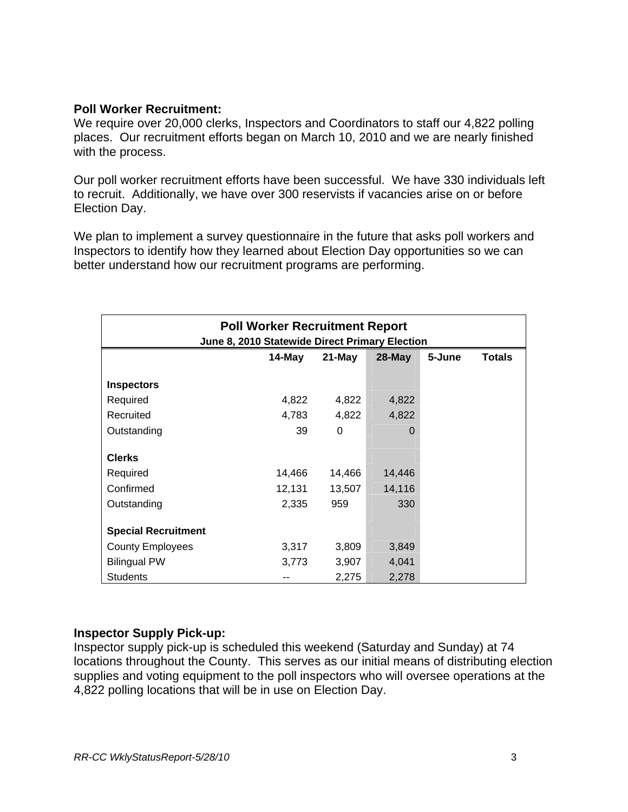#### **Poll Worker Recruitment:**

We require over 20,000 clerks, Inspectors and Coordinators to staff our 4,822 polling places. Our recruitment efforts began on March 10, 2010 and we are nearly finished with the process.

Our poll worker recruitment efforts have been successful. We have 330 individuals left to recruit. Additionally, we have over 300 reservists if vacancies arise on or before Election Day.

We plan to implement a survey questionnaire in the future that asks poll workers and Inspectors to identify how they learned about Election Day opportunities so we can better understand how our recruitment programs are performing.

| <b>Poll Worker Recruitment Report</b><br>June 8, 2010 Statewide Direct Primary Election |        |           |           |        |               |
|-----------------------------------------------------------------------------------------|--------|-----------|-----------|--------|---------------|
|                                                                                         | 14-May | $21$ -May | $28$ -May | 5-June | <b>Totals</b> |
| <b>Inspectors</b>                                                                       |        |           |           |        |               |
| Required                                                                                | 4,822  | 4,822     | 4,822     |        |               |
| Recruited                                                                               | 4,783  | 4,822     | 4,822     |        |               |
| Outstanding                                                                             | 39     | 0         | 0         |        |               |
| <b>Clerks</b>                                                                           |        |           |           |        |               |
| Required                                                                                | 14,466 | 14,466    | 14,446    |        |               |
| Confirmed                                                                               | 12,131 | 13,507    | 14,116    |        |               |
| Outstanding                                                                             | 2,335  | 959       | 330       |        |               |
| <b>Special Recruitment</b>                                                              |        |           |           |        |               |
| <b>County Employees</b>                                                                 | 3,317  | 3,809     | 3,849     |        |               |
| <b>Bilingual PW</b>                                                                     | 3,773  | 3,907     | 4,041     |        |               |
| <b>Students</b>                                                                         |        | 2,275     | 2,278     |        |               |

## **Inspector Supply Pick-up:**

Inspector supply pick-up is scheduled this weekend (Saturday and Sunday) at 74 locations throughout the County. This serves as our initial means of distributing election supplies and voting equipment to the poll inspectors who will oversee operations at the 4,822 polling locations that will be in use on Election Day.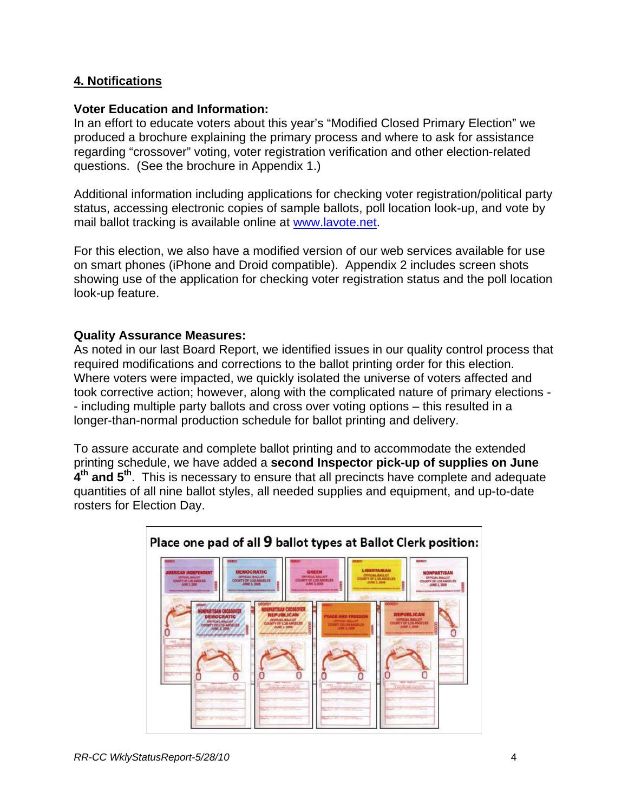## **4. Notifications**

#### **Voter Education and Information:**

In an effort to educate voters about this year's "Modified Closed Primary Election" we produced a brochure explaining the primary process and where to ask for assistance regarding "crossover" voting, voter registration verification and other election-related questions. (See the brochure in Appendix 1.)

Additional information including applications for checking voter registration/political party status, accessing electronic copies of sample ballots, poll location look-up, and vote by mail ballot tracking is available online at [www.lavote.net](http://www.lavote.net/).

For this election, we also have a modified version of our web services available for use on smart phones (iPhone and Droid compatible). Appendix 2 includes screen shots showing use of the application for checking voter registration status and the poll location look-up feature.

#### **Quality Assurance Measures:**

As noted in our last Board Report, we identified issues in our quality control process that required modifications and corrections to the ballot printing order for this election. Where voters were impacted, we quickly isolated the universe of voters affected and took corrective action; however, along with the complicated nature of primary elections - - including multiple party ballots and cross over voting options – this resulted in a longer-than-normal production schedule for ballot printing and delivery.

To assure accurate and complete ballot printing and to accommodate the extended printing schedule, we have added a **second Inspector pick-up of supplies on June 4th and 5th**. This is necessary to ensure that all precincts have complete and adequate quantities of all nine ballot styles, all needed supplies and equipment, and up-to-date rosters for Election Day.



#### Place one pad of all 9 ballot types at Ballot Clerk position: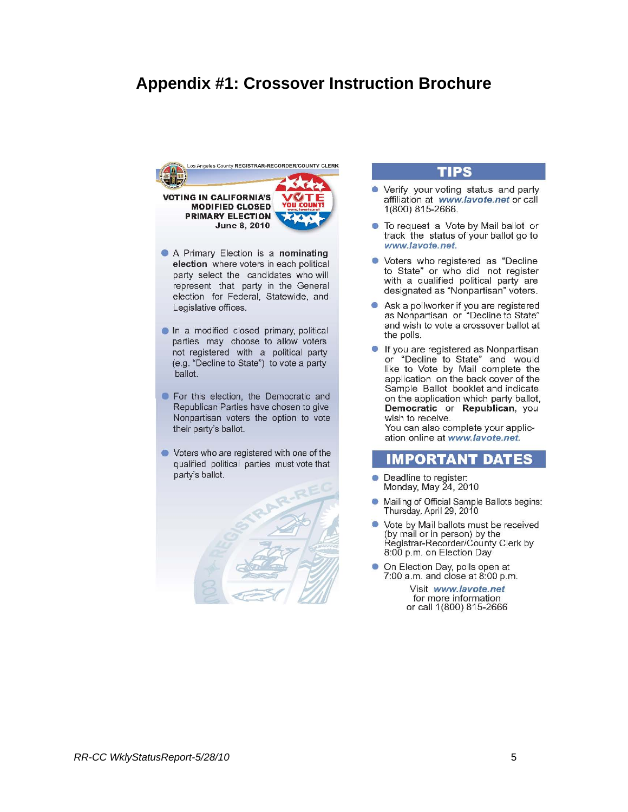## **Appendix #1: Crossover Instruction Brochure**



- A Primary Election is a nominating election where voters in each political party select the candidates who will represent that party in the General election for Federal, Statewide, and Legislative offices.
- In a modified closed primary, political parties may choose to allow voters not registered with a political party (e.g. "Decline to State") to vote a party ballot.
- For this election, the Democratic and Republican Parties have chosen to give Nonpartisan voters the option to vote their party's ballot.
- Voters who are registered with one of the qualified political parties must vote that party's ballot.



#### **TIPS**

- Verify your voting status and party affiliation at www.lavote.net or call 1(800) 815-2666.
- To request a Vote by Mail ballot or track the status of your ballot go to www.lavote.net.
- Voters who registered as "Decline to State" or who did not register with a qualified political party are designated as "Nonpartisan" voters.
- Ask a pollworker if you are registered as Nonpartisan or "Decline to State" and wish to vote a crossover ballot at the polls.
- If you are registered as Nonpartisan or "Decline to State" and would like to Vote by Mail complete the application on the back cover of the Sample Ballot booklet and indicate on the application which party ballot, Democratic or Republican, you wish to receive.

You can also complete your application online at www.lavote.net.

#### **IMPORTANT DATES**

- Deadline to register:  $\bullet$ Monday, May 24, 2010
- Mailing of Official Sample Ballots begins: Thursday, April 29, 2010
- Vote by Mail ballots must be received (by mail or in person) by the Régistrar-Recorder/Ćounty Clerk by 8:00 p.m. on Election Day
- On Election Day, polls open at 7:00 a.m. and close at 8:00 p.m.

Visit www.lavote.net for more information or call 1(800) 815-2666